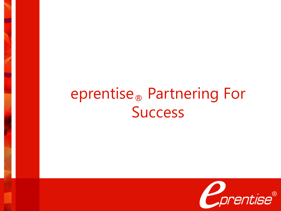# eprentise® Partnering For Success

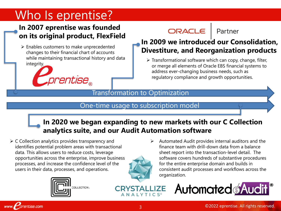# Who Is eprentise?

### **In 2007 eprentise was founded on its original product, FlexField**

➢ Enables customers to make unprecedented changes to their financial chart of accounts while maintaining transactional history and data integrity.



### ORACLE

Partner

### **In 2009 we introduced our Consolidation, Divestiture, and Reorganization products**

➢ Transformational software which can copy, change, filter, or merge all elements of Oracle EBS financial systems to address ever-changing business needs, such as regulatory compliance and growth opportunities.

#### Transformation to Optimization

#### One-time usage to subscription model

### **In 2020 we began expanding to new markets with our C Collection analytics suite, and our Audit Automation software**

 $\triangleright$  C Collection analytics provides transparency and identifies potential problem areas with transactional data. This allows users to reduce costs, leverage opportunities across the enterprise, improve business processes, and increase the confidence level of the users in their data, processes, and operations.



➢ Automated Audit provides internal auditors and the finance team with drill-down data from a balance sheet report into the transaction-level detail. The software covers hundreds of substantive procedures for the entire enterprise domain and builds in consistent audit processes and workflows across the organization.



**Automated Audit** 

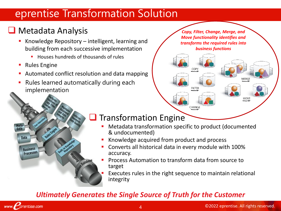## eprentise Transformation Solution

## ❑ Metadata Analysis

- Knowledge Repository  $-$  intelligent, learning and building from each successive implementation
	- Houses hundreds of thousands of rules
- Rules Engine
- Automated conflict resolution and data mapping
- Rules learned automatically during each implementation

*Copy, Filter, Change, Merge, and Move functionality identifies and transforms the required rules into business functions*





## ❑ Transformation Engine

- Metadata transformation specific to product (documented & undocumented)
- Knowledge acquired from product and process
- Converts all historical data in every module with 100% accuracy.
- Process Automation to transform data from source to target
- Executes rules in the right sequence to maintain relational integrity

### *Ultimately Generates the Single Source of Truth for the Customer*

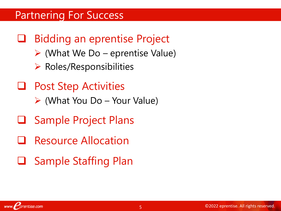## Partnering For Success

- ❑ Bidding an eprentise Project
	- $\triangleright$  (What We Do eprentise Value)
	- $\triangleright$  Roles/Responsibilities
- ❑ Post Step Activities
	- ➢ (What You Do Your Value)
- ❑ Sample Project Plans
- ❑ Resource Allocation
- ❑ Sample Staffing Plan

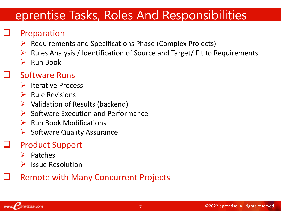# eprentise Tasks, Roles And Responsibilities

## **Preparation**

- ➢ Requirements and Specifications Phase (Complex Projects)
- ➢ Rules Analysis / Identification of Source and Target/ Fit to Requirements
- $\triangleright$  Run Book

## ❑ Software Runs

- ➢ Iterative Process
- $\triangleright$  Rule Revisions
- $\triangleright$  Validation of Results (backend)
- ➢ Software Execution and Performance
- $\triangleright$  Run Book Modifications
- ➢ Software Quality Assurance

## ❑ Product Support

- ➢ Patches
- ➢ Issue Resolution

## ❑ Remote with Many Concurrent Projects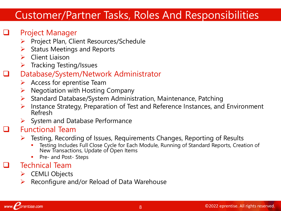## Customer/Partner Tasks, Roles And Responsibilities

### Project Manager

- ➢ Project Plan, Client Resources/Schedule
- $\triangleright$  Status Meetings and Reports
- ➢ Client Liaison
- ➢ Tracking Testing/Issues

### ❑ Database/System/Network Administrator

- $\triangleright$  Access for eprentise Team
- $\triangleright$  Negotiation with Hosting Company
- ➢ Standard Database/System Administration, Maintenance, Patching
- ➢ Instance Strategy, Preparation of Test and Reference Instances, and Environment Refresh
- $\triangleright$  System and Database Performance

### ❑ Functional Team

- ➢ Testing, Recording of Issues, Requirements Changes, Reporting of Results
	- Testing Includes Full Close Cycle for Each Module, Running of Standard Reports, Creation of New Transactions, Update of Open Items
	- **•** Pre- and Post- Steps

### ❑ Technical Team

- ➢ CEMLI Objects
- $\triangleright$  Reconfigure and/or Reload of Data Warehouse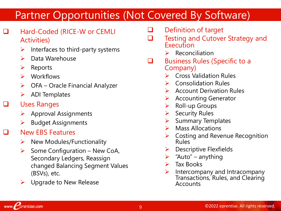# Partner Opportunities (Not Covered By Software)

- ❑ Hard-Coded (RICE-W or CEMLI Activities)
	- $\triangleright$  Interfaces to third-party systems
	- ➢ Data Warehouse
	- ➢ Reports
	- ➢ Workflows
	- $\triangleright$  OFA Oracle Financial Analyzer
	- $\triangleright$  ADI Templates
- ❑ Uses Ranges

www.*prentise.com* 

- $\triangleright$  Approval Assignments
- ➢ Budget Assignments
- ❑ New EBS Features
	- $\triangleright$  New Modules/Functionality
	- $\triangleright$  Some Configuration New CoA, Secondary Ledgers, Reassign changed Balancing Segment Values (BSVs), etc.
	- $\triangleright$  Upgrade to New Release
- ❑ Definition of target
- ❑ Testing and Cutover Strategy and **Execution** 
	- $\triangleright$  Reconciliation
- ❑ Business Rules (Specific to a Company)
	- ➢ Cross Validation Rules
	- ➢ Consolidation Rules
	- ➢ Account Derivation Rules
	- ➢ Accounting Generator
	- ➢ Roll-up Groups
	- ➢ Security Rules
	- ➢ Summary Templates
	- ➢ Mass Allocations
	- $\triangleright$  Costing and Revenue Recognition Rules
	- $\triangleright$  Descriptive Flexfields
	- $\triangleright$  "Auto" anything
	- ➢ Tax Books
	- $\triangleright$  Intercompany and Intracompany Transactions, Rules, and Clearing Accounts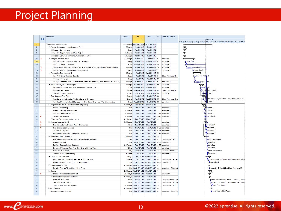# Project Planning

|                         |   | <b>Task Name</b>                                                                       | <b>Duration</b> | Start                              | Finish                                     | Pre | <b>Resource Names</b>          |                                                                                                      |
|-------------------------|---|----------------------------------------------------------------------------------------|-----------------|------------------------------------|--------------------------------------------|-----|--------------------------------|------------------------------------------------------------------------------------------------------|
|                         | ❶ |                                                                                        |                 |                                    |                                            |     |                                | 4th Quarter<br>Aug 1 Aug 1 Aug 2 Sep 1 Sep 1 Sep 2 Oct 1 Dct 1 Dct 21 Nov 1 Nov 1 Nov 2 Dec 1 Dec 21 |
| $\overline{1}$          |   | - Calendar Change Project                                                              |                 | 45.81 days Mon 8/13/12             | Mon 10/15/12                               |     |                                |                                                                                                      |
| $\overline{2}$          |   | Prepare Database and Software for Run 1                                                | 1.75 days       | Mon 8/13/12                        | Tue 8/14/12                                |     |                                | v,                                                                                                   |
| $\overline{\mathbf{3}}$ |   | + Prepare Environments                                                                 | 1 day           | Mon 8/13/12                        | Mon 8/13/12                                |     |                                | v                                                                                                    |
| $\overline{7}$          |   | El Specify Requirements and Plan Project                                               | 0.5 days        | Mon 8/13/12                        | Mon 8/13/12                                |     |                                | U                                                                                                    |
| 15                      |   | El Prepare Software for Client Environment - Run 1                                     | 1.75 days       | Mon 8/13/12                        | Tue 8/14/12                                |     |                                | U                                                                                                    |
| 24                      |   | - Analyze Instance Run 1                                                               | 13.5 days       | Tue 8/14/12                        | Mon 9/3/12 2                               |     | eprentise 1                    |                                                                                                      |
| 25                      |   | Run Metadata Analysis on Test 1 Environment                                            | 1 day           | Tue 8/14/12                        | Wed 8/15/12 5                              |     | eprentise 1                    | <b>1</b> , eprentise 1                                                                               |
| 26                      |   | Run Configuration Analysis                                                             | 4 hrs           | Wed 8/15/12                        | Thu 8/16/12 25                             |     | eprentise 1                    | eprentise 1                                                                                          |
| 27                      |   | Analyze the reports and determine rule overrides (if any)- Only required for first run | 10 days         | Thu 8/16/12                        | Thu 8/30/12 26                             |     | eprentise 1                    | eprentise 1                                                                                          |
| 28                      |   | Confirm and Document Change Requirements                                               | 2 days          | Thu 8/30/12                        | Mon 9/3/12 27                              |     | eprentise 1                    | eprentise 1                                                                                          |
| 29                      |   | Preparation Test Instance 1                                                            | 12 days         |                                    | Mon 9/3/12 Wed 9/19/12 24                  |     |                                | o                                                                                                    |
| 30                      |   | Run Preliminary Baseline Reports                                                       | 1 day           | Mon 9/3/12                         | Tue 9/4/12 5                               |     | <b>Client Functional 1</b>     | Client Function                                                                                      |
| 31                      |   | <b>Complete Pre-steps</b>                                                              | 1 day           | Tue 9/4/12                         | Wed 9/5/12 30                              |     |                                |                                                                                                      |
| 32                      |   | Change Calendar (Run 1 is a start and stop run with testing and validation in between) | 10 days         | Wed 9/5/12                         | Wed 9/19/12 31                             |     | eprentise 1                    | <b>to epremise</b> 1                                                                                 |
| 33                      |   | <b>E</b> Perform Reorganization Changes                                                | 3.27 days       | Wed 9/19/12                        | Mon 9/24/12 29                             |     | eprentise 1                    | Č                                                                                                    |
| 34                      |   | Document Changes, Run Final Reports and Record Timing                                  | 2 hrs           | Wed 9/19/12                        | Wed 9/19/12                                |     | eprentise 1                    | Leprer<br>ise 1                                                                                      |
| 35                      |   | <b>Complete Post-Steps</b>                                                             | 3 days          | Wed 9/19/12                        | Mon 9/24/12 34                             |     | <b>Client Functional 1</b>     | Client Functional 1                                                                                  |
| 36                      |   | Turn Over Run 1 for Testing                                                            | 10 mins         | Mon 9/24/12                        | Mon 9/24/12 35                             |     | eprentise 1                    | entise 1<br><b>Hepp</b>                                                                              |
| 37                      |   | Test Changed Data Run 1                                                                | 3 days          | Mon 9/24/12                        | Thu 9/27/12 33                             |     |                                | ᅚ                                                                                                    |
| 38                      |   | Functional and Integration Test (test and fix the gaps)                                | 2 days          | Mon 9/24/12                        | Wed 9/26/12 36                             |     | Client Functional 1.ep         | <b>A.C. ALE</b> Functional 1, eprentise 1, eprentise 2, Client Fune                                  |
| 39                      |   | Update all Code to reflect Changes from Run 1 and determine if Run 2 is required.      | 1 day           | Wed 9/26/12                        | Thu 9/27/12 38                             |     | eprentise 1                    | rd<br><b>Meritise 1</b>                                                                              |
| 40                      |   | - Prepare Software for Client Environment (Run 2)                                      | $1.88$ days     | Thu 9/27/12                        | Mon 10/1/12 37                             |     |                                | ۰u                                                                                                   |
| 41                      |   | Create License Key                                                                     | 1 hr            | Thu 9/27/12                        | Thu 9/27/12                                |     | eprentise 1                    | <b>A</b> ephentise 1                                                                                 |
| 42                      |   | <b>Create Operating Specific Files</b>                                                 | 0.5 days        | Thu 9/27/12                        | Fri 9/28/12 41                             |     | eprentise 1                    | rentise 1<br>M                                                                                       |
| 43                      |   | Verify UI and Install Scripts                                                          | $0.5$ days      | Fri 9/28/12                        | Fri 9/28/12 17,42 eprentise 1              |     |                                | <b>Kaprentise 1</b>                                                                                  |
| 44                      |   | <b>Tar and Upload Files</b>                                                            | 0.5 days        | Fri 9/28/12                        | Mon 10/1/12 18,43 eprentise 1              |     |                                | prentise 1                                                                                           |
| 45                      |   | El Create Environment for Software                                                     | $0.25$ days     | Mon 10/1/12                        | Mon 10/1/12 44                             |     |                                | ċ                                                                                                    |
| 49                      |   | - Analyze Instance Run 2                                                               | $0.88$ days     | Mon 10/1/12                        | Tue 10/2/12 40                             |     | eprentise 1                    |                                                                                                      |
| 50                      |   | Run Metadata Analysis on Test 1 Environment                                            | 4 hrs           |                                    | Mon 10/1/12 Mon 10/1/12 5                  |     | eprentise 1                    | <b>Neprentise 1</b>                                                                                  |
| 51                      |   | <b>Run Configuration Analysis</b>                                                      | 1 hr            | Mon 10/1/12                        | Tue 10/2/12 25,50 eprentise 1              |     |                                | <b>Illeprentise 1</b>                                                                                |
| 52                      |   | Analyze the reports                                                                    | 1 hr            | Tue 10/2/12                        | Tue 10/2/12 26,51 eprentise 1              |     |                                | Deprentise 1                                                                                         |
| 53                      |   | Identify and Document Change Requirements                                              | 1 hr            | Tue 10/2/12                        | Tue 10/2/12 27,52 eprentise 1              |     |                                | illeprentise 1                                                                                       |
| 54                      |   | Preparation Test Instance 2                                                            | 3.54 days       | Tue 10/2/12                        | Fri 10/5/12 49                             |     |                                |                                                                                                      |
| 55                      |   | Run Preliminary Baseline Reports and Complete Presteps                                 | 1 day           | Tue 10/2/12                        | Wed 10/3/12 5                              |     | <b>Client Functional 1</b>     | <b>ACIEnt Functional 1</b>                                                                           |
| 56                      |   | <b>Change Calendar</b>                                                                 | 1 day           | Wed 10/3/12                        | Thu 10/4/12 30,55 eprentise 1              |     |                                | Il eprentise 1                                                                                       |
| 57                      |   | Perform Reorganization Changes                                                         | $0.27$ days     | Thu 10/4/12                        | Thu 10/4/12 29,56 eprentise 1              |     |                                | <b>Ceprentise 1</b>                                                                                  |
| 58                      |   | Document Changes, Run Final Reports and Record Timing                                  | 2 hrs           | Thu 10/4/12                        | Thu 10/4/12 57                             |     | eprentise 1                    | <b>Leprentise 1</b>                                                                                  |
| 59                      |   | <b>Complete Post-Steps</b>                                                             | 1 day           | Thu 10/4/12                        | Fri 10/5/12 58                             |     | <b>Client Functional 1</b>     | Client Functional 1                                                                                  |
| 60                      |   | Turn Over Run 2 for Testing                                                            | 10 mins         | Fri 10/5/12                        | Fri 10/5/12 34.59 eprentise 1              |     |                                | eprentise 1                                                                                          |
| 61                      |   | Test Changed Data Run 2                                                                | 3 days          |                                    | Fri 10/5/12 Wed 10/10/12 54                |     |                                |                                                                                                      |
| 62                      |   | Functional and Integration Test (test and fix the gaps)                                | 2 days          |                                    | Fri 10/5/12 Tue 10/9/12 36                 |     | Client Functional 1,ep         | Client Functional 1, eprentise 1, eprentise 2, Clie                                                  |
| 63                      |   | Update all Code to reflect Changes from Run 2                                          | 1 day           |                                    | Tue 10/9/12 Wed 10/10/12 38.62 eprentise 1 |     |                                | eprentise 1                                                                                          |
| 64                      |   | Prepare Cutover Plan                                                                   |                 |                                    | 0.13 days Wed 10/10/12 Wed 10/10/12 61     |     |                                |                                                                                                      |
| 65                      |   | Develop Cutover Timetable and Run Book                                                 |                 |                                    | 1 hr Wed 10/10/12 Wed 10/10/12 63          |     | eprentise 1, Client DB,        | Peprentise 1, Client DBA, Client Functional 1                                                        |
| 66                      |   | $=$ Cutover                                                                            |                 |                                    | 2.88 days Wed 10/10/12 Mon 10/15/12 64     |     |                                | ₩                                                                                                    |
| 67                      |   | El Prepare Production Environment                                                      |                 | 0.5 days Wed 10/10/12 Thu 10/11/12 |                                            |     | <b>Client DBA</b>              | Ú.                                                                                                   |
| 73                      |   | El Preparation Production Instance                                                     | $0.88$ days     |                                    | Thu 10/11/12 Fri 10/12/12                  |     |                                |                                                                                                      |
| 78                      |   | <b>Complete Post Steps</b>                                                             | 4 hrs           | Fri 10/12/12                       | Fri 10/12/12 77                            |     | <b>Client Functional 1.Cli</b> | <b>R</b> Client Functional 1, Client Functional 2, Client                                            |
| 79                      |   | <b>Test with Super Users</b>                                                           | 4 hrs           |                                    | Fri 10/12/12 Mon 10/15/12 78               |     | <b>Client Functional 1.Cli</b> | Client Functional 1, Client Functional 2, Client                                                     |
| 80                      |   | Sign off on Production System                                                          |                 |                                    | 0.5 days  Mon 10/15/12  Mon 10/15/12  79   |     | <b>Client Functional 1</b>     | <b>A.</b> Client Functional 1                                                                        |
| 81                      |   | - Project Closure                                                                      |                 |                                    | 0.13 days  Mon 10/15/12  Mon 10/15/12 66   |     |                                |                                                                                                      |
| 82                      |   | Analyze Lessons Learned                                                                |                 |                                    | 1 hr Mon 10/15/12 Mon 10/15/12 80          |     | eprentise 1. Client Tea        | Peprentise 1, Client Team                                                                            |
|                         |   |                                                                                        |                 |                                    |                                            |     |                                |                                                                                                      |
|                         |   |                                                                                        |                 |                                    |                                            |     |                                |                                                                                                      |

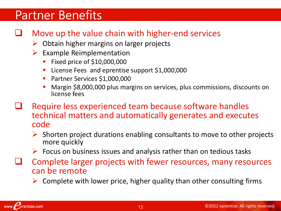# Partner Benefits

## Move up the value chain with higher-end services

- ➢ Obtain higher margins on larger projects
- $\triangleright$  Example Reimplementation
	- Fixed price of \$10,000,000
	- License Fees and eprentise support \$1,000,000
	- Partner Services \$1,000,000
	- Margin \$8,000,000 plus margins on services, plus commissions, discounts on license fees
- Require less experienced team because software handles technical matters and automatically generates and executes code
	- $\triangleright$  Shorten project durations enabling consultants to move to other projects more quickly
	- $\triangleright$  Focus on business issues and analysis rather than on tedious tasks
- ❑ Complete larger projects with fewer resources, many resources can be remote
	- ➢ Complete with lower price, higher quality than other consulting firms

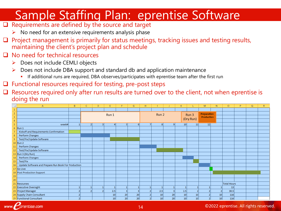# Sample Staffing Plan: eprentise Software

- ❑ Requirements are defined by the source and target
	- $\triangleright$  No need for an extensive requirements analysis phase
- $\Box$  Project management is primarily for status meetings, tracking issues and testing results, maintaining the client's project plan and schedule
- ❑ No need for technical resources

prentise.com

www.F

- ➢ Does not include CEMLI objects
- $\triangleright$  Does not include DBA support and standard db and application maintenance
	- If additional runs are required, DBA observes/participates with eprentise team after the first run
- ❑ Functional resources required for testing, pre-post steps
- ❑ Resources required only after run results are turned over to the client, not when eprentise is doing the run

| ×              | $\overline{A}$                                      | B | $\mathsf{C}$     | D              | E     |                 | G               | н     |                 |    | K               |                 | M                 | N.                 | $\circ$            | P. | $\Omega$ | $\mathbb{R}$ |
|----------------|-----------------------------------------------------|---|------------------|----------------|-------|-----------------|-----------------|-------|-----------------|----|-----------------|-----------------|-------------------|--------------------|--------------------|----|----------|--------------|
| $\mathbf{1}$   |                                                     |   |                  |                |       |                 |                 |       |                 |    |                 |                 |                   |                    |                    |    |          |              |
| $\overline{2}$ |                                                     |   |                  |                | Run 1 |                 |                 | Run 2 |                 |    |                 | Run 3           |                   | <b>Preparation</b> |                    |    |          |              |
| $\overline{3}$ |                                                     |   |                  |                |       |                 |                 |       |                 |    |                 |                 | <b>Production</b> |                    |                    |    |          |              |
| $\overline{4}$ |                                                     |   |                  | (Dry Run)      |       |                 |                 |       |                 |    |                 |                 |                   |                    |                    |    |          |              |
| 5 <sup>1</sup> | week#                                               |   | $\left  \right $ | 3 <sup>1</sup> | 4     | 51              | 6 <sup>1</sup>  | 71    | 8               | 9  | 10              | 11              | 12                |                    |                    |    |          |              |
| 6              | Run 1                                               |   |                  |                |       |                 |                 |       |                 |    |                 |                 |                   |                    |                    |    |          |              |
| $\overline{7}$ | Kickoff and Requirements Confirmation               |   |                  |                |       |                 |                 |       |                 |    |                 |                 |                   |                    |                    |    |          |              |
| 8              | Perform Changes                                     |   |                  |                |       |                 |                 |       |                 |    |                 |                 |                   |                    |                    |    |          |              |
| 9              | Test/Fix/Update Software                            |   |                  |                |       |                 |                 |       |                 |    |                 |                 |                   |                    |                    |    |          |              |
|                | 10 Run 2                                            |   |                  |                |       |                 |                 |       |                 |    |                 |                 |                   |                    |                    |    |          |              |
| 11             | Perform Changes                                     |   |                  |                |       |                 |                 |       |                 |    |                 |                 |                   |                    |                    |    |          |              |
| 12             | Test/Fix/Update Software                            |   |                  |                |       |                 |                 |       |                 |    |                 |                 |                   |                    |                    |    |          |              |
|                | 13 $ Run 3 (Dry Run)$                               |   |                  |                |       |                 |                 |       |                 |    |                 |                 |                   |                    |                    |    |          |              |
| 14             | Perform Changes                                     |   |                  |                |       |                 |                 |       |                 |    |                 |                 |                   |                    |                    |    |          |              |
| 15             | Test/Fix                                            |   |                  |                |       |                 |                 |       |                 |    |                 |                 |                   |                    |                    |    |          |              |
| 16             | Update Software and Prepare Run Book For Production |   |                  |                |       |                 |                 |       |                 |    |                 |                 |                   |                    |                    |    |          |              |
|                | 17 Go Live                                          |   |                  |                |       |                 |                 |       |                 |    |                 |                 |                   |                    |                    |    |          |              |
|                | 18 Post Production Support                          |   |                  |                |       |                 |                 |       |                 |    |                 |                 |                   |                    |                    |    |          |              |
| 19             |                                                     |   |                  |                |       |                 |                 |       |                 |    |                 |                 |                   |                    |                    |    |          |              |
| 20             |                                                     |   |                  |                |       |                 |                 |       |                 |    |                 |                 |                   |                    |                    |    |          |              |
| 21             | Resources                                           |   |                  |                |       |                 |                 |       |                 |    |                 |                 |                   |                    | <b>Total Hours</b> |    |          |              |
|                | 22 Executive Oversight                              |   |                  |                |       |                 |                 |       |                 |    |                 |                 |                   |                    | 13                 |    |          |              |
|                | 23 Project Manager                                  |   |                  |                | 2.5   |                 |                 |       | 2.5             | 3  | 2.5             |                 |                   |                    | 30.5               |    |          |              |
|                | 24 Supply Chain Consultant                          |   |                  |                | 10    | 20              | 20              |       | 10              | 20 | 10              | 10 <sup>1</sup> |                   | 10 <sup>1</sup>    | 116                |    |          |              |
|                | 25 Functional Consultant                            |   |                  |                | 10    | 20 <sup>2</sup> | 20 <sup>2</sup> |       | 10 <sup>1</sup> | 20 | 10 <sup>1</sup> | 10 <sup>1</sup> |                   | 10 <sup>1</sup>    | 116                |    |          |              |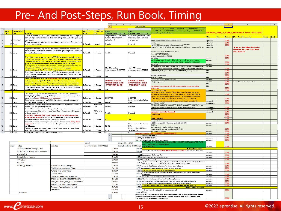## Pre- And Post-Steps, Run Book, Timing

|             |                   |                                                                                                                              |                                                                                                                                                                   |                                  |                                                                                                                                      |                                 | B                                                  | $\sim$ 0                                                                         |                                                                                                                                                                |                        |             |               |                                                      |  |           |
|-------------|-------------------|------------------------------------------------------------------------------------------------------------------------------|-------------------------------------------------------------------------------------------------------------------------------------------------------------------|----------------------------------|--------------------------------------------------------------------------------------------------------------------------------------|---------------------------------|----------------------------------------------------|----------------------------------------------------------------------------------|----------------------------------------------------------------------------------------------------------------------------------------------------------------|------------------------|-------------|---------------|------------------------------------------------------|--|-----------|
|             |                   |                                                                                                                              |                                                                                                                                                                   |                                  |                                                                                                                                      |                                 |                                                    | oprontiro3.1.5                                                                   |                                                                                                                                                                |                        |             |               |                                                      |  |           |
| $Pre-$      | <b>Template/T</b> |                                                                                                                              |                                                                                                                                                                   | For Test                         | G.<br>For Go Live RUN-2                                                                                                              |                                 |                                                    | RI IN-1                                                                          | dedicated data tablezpace of 5GB max 40GB. Will create EPRENTISEIDX dedicated<br>max 10GB. Will croate EPRENTISET dedicated temp tablespace of 20GB. This is a |                        |             |               |                                                      |  |           |
| <b>Step</b> | ask               | Pre-Step                                                                                                                     |                                                                                                                                                                   | Runs.                            | runs                                                                                                                                 | <b>E3INCI INSTANCE 20-12-</b>   | <b>E1INCI INSTANCE 22-11-</b>                      |                                                                                  | lyziz and Roarganization Software.                                                                                                                             |                        |             |               | <b>GATSBY RUN 2 E3INCI INSTANCE Date: 20-12-2016</b> |  |           |
|             |                   |                                                                                                                              | Clear all interfaces, ensure no unaccounted transactions, transfer to GL, import 8                                                                                |                                  |                                                                                                                                      | Completed by the client: Client | Completed by the client: Client                    |                                                                                  |                                                                                                                                                                |                        |             |               |                                                      |  |           |
|             |                   |                                                                                                                              | post; run all pre-conversion reports. Run "before" reports in GL & subledgers and                                                                                 |                                  |                                                                                                                                      | Functional Team confirmed       | Functional Team confirmed                          |                                                                                  |                                                                                                                                                                | When I                 | Time:       | <b>Status</b> | [Test Run ]Comments                                  |  | Start End |
|             | 49 Functional     | save reports                                                                                                                 |                                                                                                                                                                   |                                  |                                                                                                                                      | during the call                 | during the call                                    |                                                                                  | abase Server as OS user :eprentise/********                                                                                                                    | optentise              |             | <b>ONE</b>    |                                                      |  |           |
|             |                   |                                                                                                                              | Provide vpn access details / accounts/ credentials - to access the Test instances                                                                                 |                                  |                                                                                                                                      |                                 |                                                    |                                                                                  | any file:                                                                                                                                                      | eprentise              |             |               |                                                      |  |           |
|             | 50 Setup          | o run eprentise software                                                                                                     |                                                                                                                                                                   | To Provide                       | o provide                                                                                                                            | Provided                        | Provided                                           |                                                                                  | to ESINCI instance using sqlplus as system/ ************                                                                                                       | eprentise              |             | <b>ONE</b>    |                                                      |  |           |
|             |                   |                                                                                                                              |                                                                                                                                                                   |                                  |                                                                                                                                      |                                 |                                                    |                                                                                  | rentise3.1.5 and EPRENTISE and eprentise-build folders are exists ? If yes                                                                                     | eprentise              |             |               | if we are installing Eprentise                       |  |           |
|             |                   |                                                                                                                              | To generate the license key and to install the eprentise software, complete and<br>deliver eprentise System Requirements document in eprentise provided format fo |                                  |                                                                                                                                      |                                 |                                                    |                                                                                  |                                                                                                                                                                |                        |             |               | software on same sever with                          |  |           |
|             | 100 Setup         | the Test, Prodinstances                                                                                                      |                                                                                                                                                                   | To Provide                       | To Provide                                                                                                                           | Provided                        |                                                    | Provided                                                                         | uild-run-l/eprentise-build-backup-run-l                                                                                                                        |                        |             |               | same OS user                                         |  |           |
|             |                   |                                                                                                                              |                                                                                                                                                                   |                                  |                                                                                                                                      |                                 |                                                    |                                                                                  | 1-run-I/EPRENTISE-RUN-I                                                                                                                                        |                        |             |               |                                                      |  |           |
|             |                   |                                                                                                                              | o install the eprentise software, on the (RAC/NonRAC) database (node) server                                                                                      |                                  |                                                                                                                                      |                                 |                                                    |                                                                                  | d-run-l/eprentise3.1.5-RUN-l                                                                                                                                   |                        |             |               |                                                      |  |           |
|             |                   |                                                                                                                              | reate unix/linux os user account 'eprentise', with home directory /home/eprentis                                                                                  |                                  |                                                                                                                                      |                                 |                                                    |                                                                                  | eprentise/                                                                                                                                                     | oprontiro              |             | <b>DONE</b>   |                                                      |  |           |
|             |                   |                                                                                                                              | having 1G free Space; should be owner of thometeprentise dir; associated to dba                                                                                   |                                  |                                                                                                                                      |                                 |                                                    |                                                                                  | illd.tar.faz) from Eprentise Client site to your Desktop and move<br>I tar file from Desktop to :GATSBY_RUN_1_ESINCL_INSTANCE                                  | oprontiro              |             | DONE          |                                                      |  |           |
|             |                   | group; should be able to source the db env file and be able to run 'sqiplus'                                                 |                                                                                                                                                                   |                                  |                                                                                                                                      |                                 |                                                    |                                                                                  |                                                                                                                                                                | oprontiro              |             | <b>DONE</b>   |                                                      |  |           |
|             |                   |                                                                                                                              | ystem/password' to connect to the database; /home/eprentise dir should be set                                                                                     |                                  |                                                                                                                                      |                                 |                                                    |                                                                                  | ild.tar.ga<br>to_EPRENTISE_Tabloxpaco.xql'TacroatoEPRENTISE tabloxpacox (EPRENTISED,                                                                           | oprontire              |             |               |                                                      |  |           |
|             |                   | vith permission 777. Add the db eny file path to source to the users.                                                        |                                                                                                                                                                   |                                  |                                                                                                                                      | <b>NO PAC nodes</b>             |                                                    | <b>NO RAC nodes</b>                                                              | SEIDX). Change the pathr at the place halder 'repathor' in the roript ar apprapriate.                                                                          |                        |             | <b>ONE</b>    |                                                      |  |           |
|             | 101 Setup         |                                                                                                                              | rofile/.bash_profile' file. Provide the 'eprentise' user password to eprentise team.                                                                              | To Provide                       | To Provide                                                                                                                           | /home/eprentise 6 GB FREE       |                                                    | home/eprentise 6 GB FREE                                                         | EPRENTISE_Tabloxpacourgl, 1-2-Croato_EPRENTISE_Urorurgliar.bolau                                                                                               | <b>DBA</b>             |             | DONE          |                                                      |  |           |
|             |                   |                                                                                                                              | To install the eprentise software, on the (RAC/NonRAC) database (node) server,                                                                                    |                                  |                                                                                                                                      |                                 |                                                    |                                                                                  |                                                                                                                                                                | <b>DBA</b>             |             | <b>ONE</b>    |                                                      |  |           |
|             |                   |                                                                                                                              | Port 8887 should be free (and opened to be accessed over vpn if firew alled) to be                                                                                | To Provide                       |                                                                                                                                      | free                            |                                                    |                                                                                  | ENTISE_Tablerpace.rql;                                                                                                                                         |                        |             | DONE          |                                                      |  |           |
|             | 102 Setup         | used by eprentise                                                                                                            |                                                                                                                                                                   |                                  | To Provide                                                                                                                           |                                 |                                                    | ree                                                                              | ENTISE_Uror.rql;                                                                                                                                               | DBA                    |             | <b>DONE</b>   |                                                      |  |           |
|             |                   |                                                                                                                              | o install the eprentise software, confirm the path availability of (188+15+40 =<br>SOGB) space on the (RAC/NonRAC) database (node) server for eprentise           |                                  |                                                                                                                                      | <b>EPRNTISED 40 GB</b>          |                                                    | <b>EPRNTISED 40 GB</b>                                                           | _quouo_pracozzoz - 35 (if lozz than 35)                                                                                                                        | oprentire              |             | DONE          |                                                      |  |           |
|             |                   |                                                                                                                              | specific table spaces creation. These eprentise tablespaces will be created by                                                                                    |                                  |                                                                                                                                      | <b>EPRENTISEIDX 10 GB</b>       | <b>EPRENTISEIDX 10 GB</b>                          |                                                                                  | rallol_max_zorvorz-8                                                                                                                                           | oprontiro              |             | OONE          | zince instance is cpu count value 4                  |  |           |
|             | 103 Setup         |                                                                                                                              | prentise scripts during installation. Actual space need will be established after                                                                                 | To Confirm                       | To Confirm                                                                                                                           | <b>EPRENTISET 20 GB</b>         |                                                    | <b>EPRENTISET 20 GB</b>                                                          |                                                                                                                                                                | <b>DBA</b>             |             |               |                                                      |  |           |
|             |                   |                                                                                                                              | For proper conversion of data, reschedule the backups so as not to interrupt the                                                                                  |                                  |                                                                                                                                      |                                 |                                                    |                                                                                  | mr and cancurront managor), dirablo any rchodulod pragramr ar cran jabr                                                                                        | <b>DBA</b>             |             |               |                                                      |  |           |
|             | 104 Setup         | conversion activities. Stop I deactivate any cron jobs.                                                                      |                                                                                                                                                                   | To Confirm                       | To Confirm                                                                                                                           | DBA                             |                                                    | <b>DBA</b>                                                                       | hauld be up?                                                                                                                                                   |                        |             | DONE          |                                                      |  |           |
|             |                   |                                                                                                                              |                                                                                                                                                                   |                                  |                                                                                                                                      |                                 |                                                    |                                                                                  | script-linux.sh script<br>build.tar.(g2) from Eprentise Client site to your Desktop and move                                                                   | eprentire              |             | <b>DONE</b>   |                                                      |  |           |
|             |                   |                                                                                                                              | As required, add space to APPS modules index/data/temp tablespaces (Ex                                                                                            |                                  |                                                                                                                                      |                                 |                                                    |                                                                                  | a) tar file_from Desktop to :GATSBY_RUN_2_E3INCLINSTANCE                                                                                                       |                        |             | ONE           |                                                      |  |           |
|             |                   |                                                                                                                              | APPS_TS_TX_DATA and Apps_UNDOTS) to prevent conversion being halted fo                                                                                            |                                  |                                                                                                                                      |                                 |                                                    |                                                                                  | y path : /home/eprentise/eprentise-build - Press any key to continue                                                                                           |                        |             |               |                                                      |  |           |
|             | 200 Setup         | lack of space(required 80G apps_undo tablespace)                                                                             |                                                                                                                                                                   | To Confirm                       | To Confirm                                                                                                                           | 2 GB FREE                       |                                                    | 2 GB FREE                                                                        | e directory path : /home/eprentise_Press any key to continued_                                                                                                 |                        |             | <b>ONE</b>    |                                                      |  |           |
|             |                   |                                                                                                                              | Turnoff archive log mode for the (RAC/NonRAC) database (node) instance or                                                                                         | To Confirm                       |                                                                                                                                      |                                 |                                                    | Done - confirmed by TriCore                                                      | .<br>  Dayau uant ta Cantinus(y/n)"   N ta cantinus if already created by dba                                                                                  | <b>aprontire</b>       |             | DONE          |                                                      |  |           |
|             | 201 Setup         | Monitor the space during the run                                                                                             |                                                                                                                                                                   |                                  | To Confirm                                                                                                                           | stopped                         |                                                    | <b>DBA</b>                                                                       | ex. ./.bash_profile)                                                                                                                                           | eprentire              |             | <b>DONE</b>   |                                                      |  |           |
|             |                   |                                                                                                                              | apps password, applingr password for start/stop db/apps tier; db/apps env files to                                                                                | To Provide                       | <b>DBA</b> to take                                                                                                                   |                                 |                                                    |                                                                                  | PR_HOME env PATH (echo \$EPR_BUILD, echo \$EPR_HOME) (ex for                                                                                                   |                        |             |               |                                                      |  |           |
|             | 202 Setup         | source; EBS User sysadmin password;<br>To install the eprentise software, during installation, system db user password to be |                                                                                                                                                                   | care                             | Provided                                                                                                                             |                                 | Provided                                           | (eprentise/eprentise-build and EPR_HOME: /home/eprentise/                        | prentire                                                                                                                                                       |                        | <b>ONE</b>  |               |                                                      |  |           |
|             |                   |                                                                                                                              | entered/provided while installing the software (To create eprentise tablespaces                                                                                   |                                  | DBA to take                                                                                                                          |                                 |                                                    |                                                                                  | entise3.1.5                                                                                                                                                    | .prontiro              |             | <b>ONE</b>    |                                                      |  |           |
|             | 203 Setup         | and schema user)                                                                                                             |                                                                                                                                                                   | To Provide                       | care                                                                                                                                 | Provided                        |                                                    | Provided                                                                         | eprentise-installer-linux.sh                                                                                                                                   | tir.                   |             | OONE          |                                                      |  |           |
|             |                   |                                                                                                                              | If on RAC: Only one RAC node should be up on which eprentise                                                                                                      |                                  |                                                                                                                                      |                                 |                                                    | 10.176.0.6                                                                       |                                                                                                                                                                |                        | <b>JONE</b> |               |                                                      |  |           |
|             |                   | s <b>oftware is installed</b> . Additional RAC nodes/instances servers if any needs to                                       |                                                                                                                                                                   |                                  |                                                                                                                                      |                                 |                                                    |                                                                                  |                                                                                                                                                                |                        | <b>ONE</b>  |               |                                                      |  |           |
|             | 204 Setup         | be brought down. No action required if not on RAC Nodes.<br>To Confirm                                                       |                                                                                                                                                                   | To Confirm                       |                                                                                                                                      |                                 |                                                    | IAME: E3INCI                                                                     |                                                                                                                                                                |                        | <b>JONE</b> |               |                                                      |  |           |
|             |                   |                                                                                                                              | To Prvent users from accessing the system during the conversion, Bring down                                                                                       |                                  |                                                                                                                                      |                                 |                                                    |                                                                                  | sarh_prafile)                                                                                                                                                  | oprontiro              |             | DONE          |                                                      |  |           |
|             |                   | apps tier (forms and concurrent managers) (Only the Database and listener                                                    |                                                                                                                                                                   |                                  |                                                                                                                                      |                                 |                                                    | Done - confirmed by TriCore                                                      | )JECT(autputzhauldbo "fhamofoprontizofEPRENTISE"<br><b>TISE/bin</b>                                                                                            | oprontiro              |             | <b>DONE</b>   |                                                      |  |           |
|             | 206 Setup         | should be up).                                                                                                               |                                                                                                                                                                   | To Confirm                       | To Confirm                                                                                                                           | TO DO                           |                                                    | <b>DRA</b>                                                                       | azotup oprontiro application (tomcat) zorvor:                                                                                                                  | eprentize              |             |               |                                                      |  |           |
|             |                   |                                                                                                                              | Record the number and type of invalid objects for each owner at the database                                                                                      |                                  |                                                                                                                                      |                                 |                                                    | Done by TriCore DBA (see                                                         | :ation(tamcat)zerverpartnumber(ex: 8887) : 8887                                                                                                                |                        |             | OONE          |                                                      |  |           |
|             | 207 Setup         | level, before start of conversion                                                                                            |                                                                                                                                                                   |                                  | To Confirm                                                                                                                           | TO DO                           |                                                    | separate tab)                                                                    | ire3.1.5/DIVESTITURE/                                                                                                                                          | oprontiro              |             | DONE          |                                                      |  |           |
|             | 208 Setup         | Take a pre-conversion cold back up of the database.                                                                          |                                                                                                                                                                   | NA.                              | To Confirm                                                                                                                           | na.                             |                                                    | na                                                                               |                                                                                                                                                                | oprontiro              |             | OONE          |                                                      |  |           |
|             |                   |                                                                                                                              |                                                                                                                                                                   |                                  |                                                                                                                                      | 37                              |                                                    | chand-R 777 EPRENTISE                                                            |                                                                                                                                                                | oprontiro              |             |               |                                                      |  |           |
|             |                   |                                                                                                                              |                                                                                                                                                                   |                                  |                                                                                                                                      | 38                              |                                                    | d\$EPR_HOME/EPRENTISE/bin                                                        |                                                                                                                                                                | oprontiro              |             |               |                                                      |  |           |
|             |                   |                                                                                                                              |                                                                                                                                                                   |                                  |                                                                                                                                      | 39                              |                                                    |                                                                                  | Run start_oprontiso.sh (ox: .fstart_oprontiso.sh)                                                                                                              | oprontiro              |             | ONE           |                                                      |  |           |
|             |                   |                                                                                                                              |                                                                                                                                                                   | $RUN-2$                          |                                                                                                                                      |                                 | RUN-1 22-11-2016                                   |                                                                                  | RANSLATED_FLAC                                                                                                                                                 |                        |             |               |                                                      |  |           |
| step#       | step              |                                                                                                                              | sub-step                                                                                                                                                          | <b>Execution Time (HH:MM:SS)</b> |                                                                                                                                      |                                 |                                                    | <b>Execution Time (HH:MM:SS)</b>                                                 | DE EPRENTISEIDX NOLOGGING<br>DEGREE 161<br><b>Matedote Analysis</b>                                                                                            |                        |             |               |                                                      |  |           |
|             |                   | 1 installation and configuration                                                                                             |                                                                                                                                                                   |                                  |                                                                                                                                      | 0:30:00                         |                                                    | 0:30:00                                                                          |                                                                                                                                                                |                        |             | <b>JONE</b>   |                                                      |  |           |
|             |                   |                                                                                                                              |                                                                                                                                                                   |                                  |                                                                                                                                      |                                 |                                                    |                                                                                  | 0:30:00 urer and type the URL: "http://10.176.0.6:###7/eprentire/"[Shauldlaunch eprentire                                                                      |                        |             |               |                                                      |  |           |
|             |                   | 2 Verification testing after Installation                                                                                    |                                                                                                                                                                   |                                  |                                                                                                                                      | 0:30:00                         |                                                    |                                                                                  |                                                                                                                                                                | erentire               |             | DONE          |                                                      |  |           |
|             | 3 SA-MA/CA        |                                                                                                                              |                                                                                                                                                                   |                                  |                                                                                                                                      | 2:06:40                         |                                                    | 1:06:40 ta Analysis Software Run                                                 |                                                                                                                                                                | prontiro               |             | <b>DONE</b>   |                                                      |  |           |
|             |                   | 4 Create Rule Process                                                                                                        |                                                                                                                                                                   |                                  |                                                                                                                                      | 0:10:00                         |                                                    |                                                                                  | $0.1000$ rentire raftware ar 'BUSINESS_USER'                                                                                                                   | oprontiro              |             | DONE          |                                                      |  |           |
|             | 5 VALIDATE        |                                                                                                                              |                                                                                                                                                                   |                                  |                                                                                                                                      | 0:10:00                         |                                                    | 0:10:00 ministration' activity                                                   |                                                                                                                                                                | oprontiro              |             | <b>DONE</b>   |                                                      |  |           |
|             | 6 EXECUTE         |                                                                                                                              |                                                                                                                                                                   |                                  |                                                                                                                                      | 1:05:28                         |                                                    |                                                                                  | 1:05:28 Instance: Instance Name:Target_Instance, Product Name: Oracle Ebwiness Suite 12 Product                                                                |                        |             |               |                                                      |  |           |
|             |                   |                                                                                                                              |                                                                                                                                                                   |                                  |                                                                                                                                      |                                 |                                                    |                                                                                  | .1.3 Db Link Name : «Leave Blank», Databare Name (SIDIN CAPS): E3INCI                                                                                          |                        |             | ONE           |                                                      |  |           |
|             |                   | 7 APPLY_CHANGES                                                                                                              | Prepare for Apply changes                                                                                                                                         |                                  |                                                                                                                                      | 0:10:02                         |                                                    |                                                                                  | 0:10:02 tadata Analyzir Project to Instance: Target_Instance as Source                                                                                         | oprontiro              |             | OONE          |                                                      |  |           |
|             |                   |                                                                                                                              | <b>Disable Constraints and Triggers</b>                                                                                                                           |                                  |                                                                                                                                      | 0:09:30                         |                                                    |                                                                                  | 0:09:30:rqanization Project to Instance: Target_Instance as Target                                                                                             | oprontiro              |             | <b>DONE</b>   |                                                      |  |           |
|             |                   |                                                                                                                              | Purging data entity rules                                                                                                                                         |                                  |                                                                                                                                      | 2:10:57                         |                                                    |                                                                                  | 1:30:22 <mark>kor_tark&gt;&gt;Chango activity to 'Motadata Analyzir</mark>                                                                                     | oprontiro              |             | <b>ONE</b>    |                                                      |  |           |
|             |                   |                                                                                                                              | <b>Custom rules</b>                                                                                                                                               | 0:31:10<br>0:10:00               |                                                                                                                                      |                                 |                                                    |                                                                                  | prontiro                                                                                                                                                       |                        | <b>ONE</b>  |               |                                                      |  |           |
|             |                   |                                                                                                                              | EP XLA_GL_POSTING data gather                                                                                                                                     |                                  |                                                                                                                                      |                                 |                                                    |                                                                                  |                                                                                                                                                                |                        |             |               |                                                      |  |           |
|             |                   |                                                                                                                              | EP XLA_GL_POSTING DELETE/INSERTS<br>0:04:30                                                                                                                       |                                  | 0:05:01 lyxe Instance' Steps for Target_Instance; Once Running<br>0:03:36 'Canfiguration Analyzis' Stops 1 and 3 for Targot_Instance |                                 |                                                    |                                                                                  |                                                                                                                                                                | <b>ONE</b>             |             |               |                                                      |  |           |
|             |                   |                                                                                                                              |                                                                                                                                                                   |                                  |                                                                                                                                      |                                 |                                                    |                                                                                  | 0:02:01 alyze Instance & Configuration Analyzis Steps gets completed for Target_Instance                                                                       |                        |             | DONE          |                                                      |  |           |
|             |                   |                                                                                                                              | EP GL HEADERS AND BATCH UPDATES                                                                                                                                   |                                  |                                                                                                                                      | 0:04:01                         |                                                    | 0:20:42 SELECTED Analysis and Configuration Analysis Reports for Target_Instance |                                                                                                                                                                |                        |             | <b>JONE</b>   |                                                      |  |           |
|             |                   |                                                                                                                              | <b>Enable Constraints and Triggers</b>                                                                                                                            |                                  |                                                                                                                                      | 0:32:47                         |                                                    |                                                                                  | <u>) to 'Uzer Tarkr &gt; Change Activity ' Select DIVESTITURE Project </u>                                                                                     | eprentire<br>oprontiro |             | <b>ONE</b>    |                                                      |  |           |
|             |                   |                                                                                                                              | <b>Senerate Apply Changes report</b>                                                                                                                              |                                  |                                                                                                                                      | 0:07:00                         |                                                    | 0:05:25                                                                          | <b>DIVESTITURE Project</b>                                                                                                                                     |                        |             |               |                                                      |  |           |
|             |                   |                                                                                                                              | 0:54:29<br>Post-steps                                                                                                                                             |                                  |                                                                                                                                      |                                 | 0:23:44-rule uith name: Getrky_diverture_rule_run2 | oprontire                                                                        |                                                                                                                                                                | <b>DONE</b>            |             |               |                                                      |  |           |
|             | <b>Total Time</b> |                                                                                                                              |                                                                                                                                                                   |                                  |                                                                                                                                      | 9:26:34                         |                                                    | 6:43:10 riteria                                                                  |                                                                                                                                                                |                        |             |               |                                                      |  |           |
|             |                   |                                                                                                                              |                                                                                                                                                                   |                                  |                                                                                                                                      |                                 |                                                    |                                                                                  | <b>STORECORTS: INT_Craitare,OU_BST_Mepping,Ladgars,FA_Critarie,Burinass_Gruup</b>                                                                              |                        |             |               |                                                      |  |           |
|             |                   |                                                                                                                              |                                                                                                                                                                   |                                  |                                                                                                                                      |                                 |                                                    |                                                                                  | Laad Burinozz Graup mapping file : <b>INTENTORT_ORGS.czv,OU_BST.czv, LEDGERS.czv,</b>                                                                          |                        |             | <b>DONE</b>   |                                                      |  |           |



#### 15 ©2022 eprentise. All rights reserved.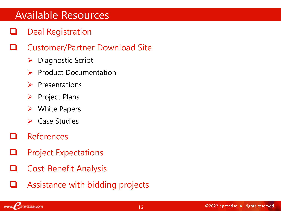## Available Resources

- Deal Registration
- ❑ Customer/Partner Download Site
	- ➢ Diagnostic Script
	- ➢ Product Documentation
	- ➢ Presentations
	- ➢ Project Plans
	- ➢ White Papers
	- ➢ Case Studies
- ❑ References
- ❑ Project Expectations
- ❑ Cost-Benefit Analysis
- Assistance with bidding projects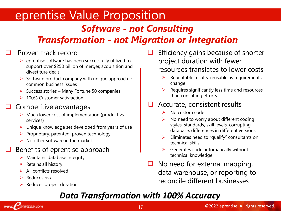# eprentise Value Proposition

## *Software - not Consulting*

## *Transformation - not Migration or Integration*

### ❑ Proven track record

- $\triangleright$  eprentise software has been successfully utilized to support over \$250 billion of merger, acquisition and divestiture deals
- $\triangleright$  Software product company with unique approach to common business issues
- $\triangleright$  Success stories Many Fortune 50 companies
- ➢ 100% Customer satisfaction

### ❑ Competitive advantages

- $\triangleright$  Much lower cost of implementation (product vs. services)
- $\triangleright$  Unique knowledge set developed from years of use
- ➢ Proprietary, patented, proven technology
- ➢ No other software in the market

### Benefits of eprentise approach

- $\triangleright$  Maintains database integrity
- $\triangleright$  Retains all history
- ➢ All conflicts resolved
- ➢ Reduces risk
- $\triangleright$  Reduces project duration
- ❑ Efficiency gains because of shorter project duration with fewer resources translates to lower costs
	- ➢ Repeatable results, reusable as requirements change
	- ➢ Requires significantly less time and resources than consulting efforts

#### ❑ Accurate, consistent results

- ➢ No custom code
- $\triangleright$  No need to worry about different coding styles, standards, skill levels, corrupting database, differences in different versions
- $\triangleright$  Eliminates need to "qualify" consultants on technical skills
- ➢ Generates code automatically without technical knowledge
- $\Box$  No need for external mapping, data warehouse, or reporting to reconcile different businesses

## *Data Transformation with 100% Accuracy*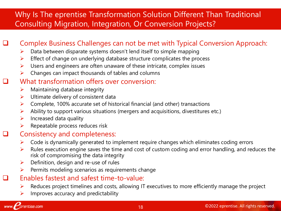### Why Is The eprentise Transformation Solution Different Than Traditional Consulting Migration, Integration, Or Conversion Projects?

### ❑ Complex Business Challenges can not be met with Typical Conversion Approach:

- $\triangleright$  Data between disparate systems doesn't lend itself to simple mapping
- $\triangleright$  Effect of change on underlying database structure complicates the process
- $\triangleright$  Users and engineers are often unaware of these intricate, complex issues
- $\triangleright$  Changes can impact thousands of tables and columns

#### What transformation offers over conversion:

- $\triangleright$  Maintaining database integrity
- $\triangleright$  Ultimate delivery of consistent data
- ➢ Complete, 100% accurate set of historical financial (and other) transactions
- $\triangleright$  Ability to support various situations (mergers and acquisitions, divestitures etc.)
- $\triangleright$  Increased data quality
- $\triangleright$  Repeatable process reduces risk

#### ❑ Consistency and completeness:

- ➢ Code is dynamically generated to implement require changes which eliminates coding errors
- $\triangleright$  Rules execution engine saves the time and cost of custom coding and error handling, and reduces the risk of compromising the data integrity
- $\triangleright$  Definition, design and re-use of rules
- ➢ Permits modeling scenarios as requirements change

#### ❑ Enables fastest and safest time-to-value:

- ➢ Reduces project timelines and costs, allowing IT executives to more efficiently manage the project
- $\triangleright$  Improves accuracy and predictability